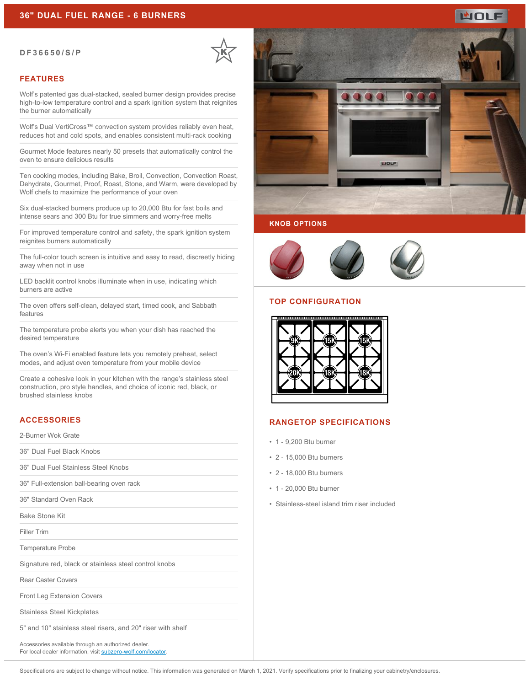#### **DF36650/S/P**

## **FEATURES**

Wolf's patented gas dual-stacked, sealed burner design provides precise high-to-low temperature control and a spark ignition system that reignites the burner automatically

Wolf's Dual VertiCross™ convection system provides reliably even heat, reduces hot and cold spots, and enables consistent multi-rack cooking

Gourmet Mode features nearly 50 presets that automatically control the oven to ensure delicious results

Ten cooking modes, including Bake, Broil, Convection, Convection Roast, Dehydrate, Gourmet, Proof, Roast, Stone, and Warm, were developed by Wolf chefs to maximize the performance of your oven

Six dual-stacked burners produce up to 20,000 Btu for fast boils and intense sears and 300 Btu for true simmers and worry-free melts

For improved temperature control and safety, the spark ignition system reignites burners automatically

The full-color touch screen is intuitive and easy to read, discreetly hiding away when not in use

LED backlit control knobs illuminate when in use, indicating which burners are active

The oven offers self-clean, delayed start, timed cook, and Sabbath features

The temperature probe alerts you when your dish has reached the desired temperature

The oven's Wi-Fi enabled feature lets you remotely preheat, select modes, and adjust oven temperature from your mobile device

Create a cohesive look in your kitchen with the range's stainless steel construction, pro style handles, and choice of iconic red, black, or brushed stainless knobs

# **ACCESSORIES**

2-Burner Wok Grate

36" Dual Fuel Black Knobs

36" Dual Fuel Stainless Steel Knobs

36" Full-extension ball-bearing oven rack

36" Standard Oven Rack

Bake Stone Kit

Filler Trim

Temperature Probe

Signature red, black or stainless steel control knobs

Rear Caster Covers

Front Leg Extension Covers

Stainless Steel Kickplates

5" and 10" stainless steel risers, and 20" riser with shelf

Accessories available through an authorized dealer. For local dealer information, visit [subzero-wolf.com/locator.](http://www.subzero-wolf.com/locator)



WOLF

#### **KNOB OPTIONS**



#### **TOP CONFIGURATION**



## **RANGETOP SPECIFICATIONS**

- 1 9,200 Btu burner
- 2 15,000 Btu burners
- 2 18,000 Btu burners
- 1 20,000 Btu burner
- Stainless-steel island trim riser included